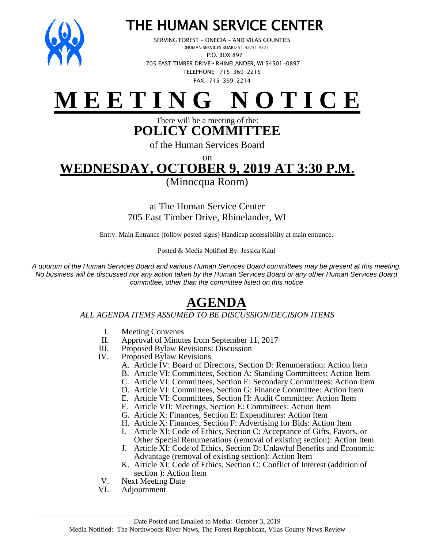

## THE HUMAN SERVICE CENTER

 SERVING FOREST – ONEIDA – AND VILAS COUNTIES (HUMAN SERVICES BOARD 51.42/51.437) P.O. BOX 897 705 EAST TIMBER DRIVE **•** RHINELANDER, WI 54501-0897 TELEPHONE: 715-369-2215 FAX: 715-369-2214

# **M E E T I N G N O T I C E**

There will be a meeting of the: **POLICY COMMITTEE**

of the Human Services Board

### on **WEDNESDAY, OCTOBER 9, 2019 AT 3:30 P.M.**

(Minocqua Room)

at The Human Service Center 705 East Timber Drive, Rhinelander, WI

Entry: Main Entrance (follow posted signs) Handicap accessibility at main entrance.

Posted & Media Notified By: Jessica Kaul

*A quorum of the Human Services Board and various Human Services Board committees may be present at this meeting. No business will be discussed nor any action taken by the Human Services Board or any other Human Services Board committee, other than the committee listed on this notice*

## **AGENDA**

#### *ALL AGENDA ITEMS ASSUMED TO BE DISCUSSION/DECISION ITEMS*

- I. Meeting Convenes
- II. Approval of Minutes from September 11, 2017
- III. Proposed Bylaw Revisions: Discussion
- IV. Proposed Bylaw Revisions
	- A. Article IV: Board of Directors, Section D: Renumeration: Action Item
	- B. Article VI: Committees, Section A: Standing Committees: Action Item
	- C. Article VI: Committees, Section E: Secondary Committees: Action Item
	- D. Article VI: Committees, Section G: Finance Committee: Action Item
	- E. Article VI: Committees, Section H: Audit Committee: Action Item
	- F. Article VII: Meetings, Section E: Committees: Action Item
	- G. Article X: Finances, Section E: Expenditures: Action Item
	- H. Article X: Finances, Section F: Advertising for Bids: Action Item
	- I. Article XI: Code of Ethics, Section C: Acceptance of Gifts, Favors, or Other Special Renumerations (removal of existing section): Action Item
	- J. Article XI: Code of Ethics, Section D: Unlawful Benefits and Economic Advantage (removal of existing section): Action Item
	- K. Article XI: Code of Ethics, Section C: Conflict of Interest (addition of section ): Action Item
- V. Next Meeting Date
- VI. Adjournment

\_\_\_\_\_\_\_\_\_\_\_\_\_\_\_\_\_\_\_\_\_\_\_\_\_\_\_\_\_\_\_\_\_\_\_\_\_\_\_\_\_\_\_\_\_\_\_\_\_\_\_\_\_\_\_\_\_\_\_\_\_\_\_\_\_\_\_\_\_\_\_\_\_\_\_\_\_\_\_\_\_\_\_\_\_\_\_\_\_\_\_\_\_\_\_\_\_\_\_\_\_\_\_\_\_\_\_\_\_\_\_\_\_\_\_\_